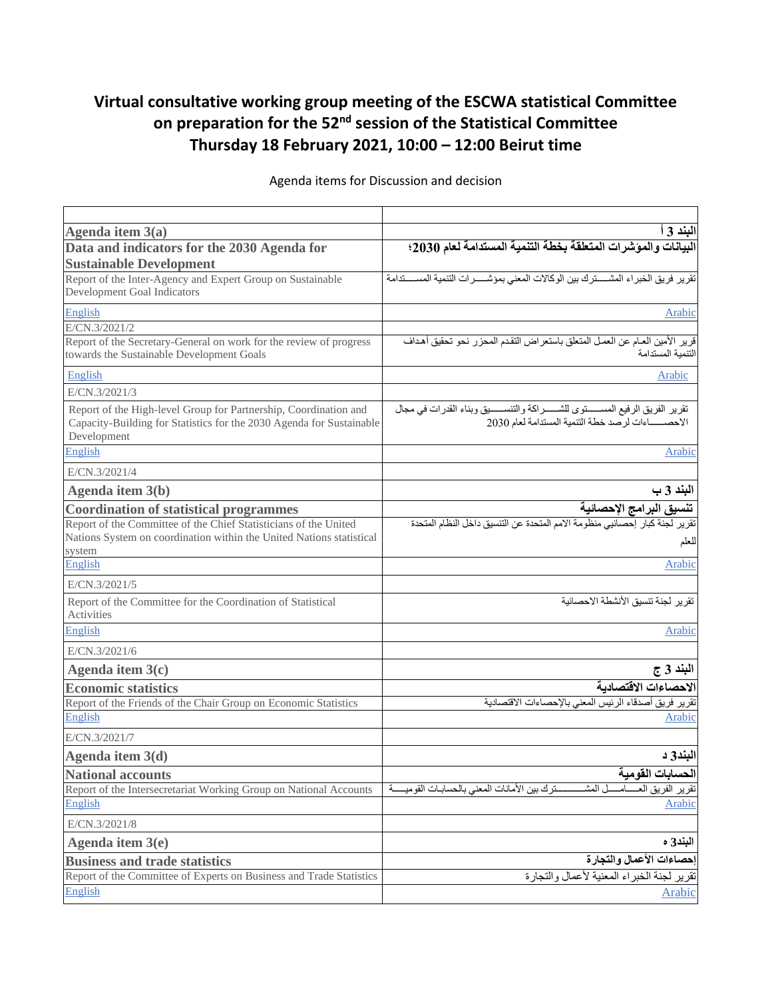## **Virtual consultative working group meeting of the ESCWA statistical Committee on preparation for the 52nd session of the Statistical Committee Thursday 18 February 2021, 10:00 – 12:00 Beirut time**

| Agenda item $3(a)$                                                                                                                                      | البند 3 ا                                                                                                                   |
|---------------------------------------------------------------------------------------------------------------------------------------------------------|-----------------------------------------------------------------------------------------------------------------------------|
| Data and indicators for the 2030 Agenda for<br><b>Sustainable Development</b>                                                                           | البيانات والمؤشرات المتعلقة بخطة التنمية المستدامة لعام 2030؛                                                               |
| Report of the Inter-Agency and Expert Group on Sustainable<br>Development Goal Indicators                                                               | تقرير فريق الخبراء المشسترك بين الوكالات المعنى بمؤشسرات التنمية المسستدامة                                                 |
| English                                                                                                                                                 | Arabic                                                                                                                      |
| E/CN.3/2021/2                                                                                                                                           |                                                                                                                             |
| Report of the Secretary-General on work for the review of progress<br>towards the Sustainable Development Goals                                         | قرير الأمين العـام عن العمـل المتعلق بـاستعر اض التقدم المحزر نحو تحقيق أهداف<br>التنمبة المستدامة                          |
| English                                                                                                                                                 | Arabic                                                                                                                      |
| E/CN.3/2021/3                                                                                                                                           |                                                                                                                             |
| Report of the High-level Group for Partnership, Coordination and<br>Capacity-Building for Statistics for the 2030 Agenda for Sustainable<br>Development | تقرير الفريق الرفيع المستوى للشسوراكة والتنسسيق وبناء القدرات في مجال<br>الاحصــــاءات لرصد خطة التنمية المستدامة لعام 2030 |
| English                                                                                                                                                 | Arabic                                                                                                                      |
| E/CN.3/2021/4                                                                                                                                           |                                                                                                                             |
| Agenda item 3(b)                                                                                                                                        | البند 3 ب                                                                                                                   |
| <b>Coordination of statistical programmes</b>                                                                                                           | <mark>تنسبيق البر امج الإحصائية</mark><br>تقرير لجنة كبار إحصائيي منظومة الامم المتحدة عن التتسيق داخل النظام المتحدة       |
| Report of the Committee of the Chief Statisticians of the United<br>Nations System on coordination within the United Nations statistical<br>system      | للعلم                                                                                                                       |
| English                                                                                                                                                 | Arabic                                                                                                                      |
| E/CN.3/2021/5                                                                                                                                           |                                                                                                                             |
| Report of the Committee for the Coordination of Statistical<br>Activities                                                                               | تقرير لجنة تنسيق الأنشطة الاحصائية                                                                                          |
| English                                                                                                                                                 | Arabic                                                                                                                      |
| E/CN.3/2021/6                                                                                                                                           |                                                                                                                             |
| Agenda item $3(c)$                                                                                                                                      | البند 3 ج                                                                                                                   |
| <b>Economic statistics</b>                                                                                                                              | الاحصاءات الاقتصادية                                                                                                        |
| Report of the Friends of the Chair Group on Economic Statistics                                                                                         | تقرير فريق أصدقاء الرئيس المعنى بالإحصاءات الاقتصادية                                                                       |
| English                                                                                                                                                 | Arabic                                                                                                                      |
| E/CN.3/2021/7                                                                                                                                           |                                                                                                                             |
| Agenda item 3(d)                                                                                                                                        | البند3 د                                                                                                                    |
| <b>National accounts</b>                                                                                                                                | الحسابات القومية                                                                                                            |
| Report of the Intersecretariat Working Group on National Accounts                                                                                       | ـل المشـ<br>سنزك بين الأمانات المعنى بالحسابات القوميسية<br>ـامـ<br><mark>نقرير الفريق الع</mark>                           |
| English                                                                                                                                                 | Arabic                                                                                                                      |
| E/CN.3/2021/8                                                                                                                                           |                                                                                                                             |
| Agenda item $3(e)$                                                                                                                                      | البند3 ه                                                                                                                    |
| <b>Business and trade statistics</b>                                                                                                                    | إحصاءات الأعمال والتجارة                                                                                                    |
| Report of the Committee of Experts on Business and Trade Statistics                                                                                     | تقرير لجنة الخبراء المعنية لأعمال والتجارة                                                                                  |
| English                                                                                                                                                 | Arabic                                                                                                                      |

Agenda items for Discussion and decision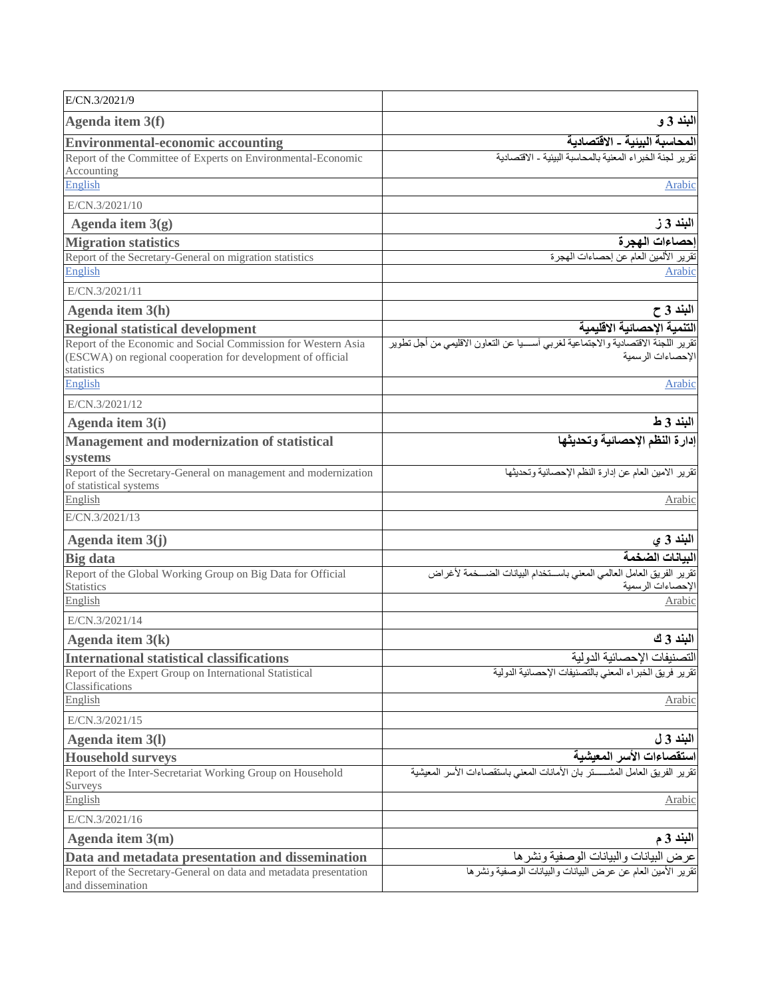| E/CN.3/2021/9                                                                                                                              |                                                                                                              |
|--------------------------------------------------------------------------------------------------------------------------------------------|--------------------------------------------------------------------------------------------------------------|
| Agenda item 3(f)                                                                                                                           | البند 3 و                                                                                                    |
| <b>Environmental-economic accounting</b>                                                                                                   | <mark>المحاسبـة البيئيـة ـ الاقتصاديـة</mark><br>تقرير لجنة الخبر اء المعنية بالمحاسبة البيئية ـ الاقتصاديـة |
| Report of the Committee of Experts on Environmental-Economic<br>Accounting                                                                 |                                                                                                              |
| English                                                                                                                                    | Arabic                                                                                                       |
| E/CN.3/2021/10                                                                                                                             |                                                                                                              |
| Agenda item $3(g)$                                                                                                                         | البند 3 ز                                                                                                    |
| <b>Migration statistics</b>                                                                                                                | إحصاءات الهجرة                                                                                               |
| Report of the Secretary-General on migration statistics                                                                                    | تقرير الألمين العام عن إحصاءات الهجرة                                                                        |
| English                                                                                                                                    | Arabic                                                                                                       |
| E/CN.3/2021/11                                                                                                                             |                                                                                                              |
| Agenda item 3(h)                                                                                                                           | البند 3 ح                                                                                                    |
| <b>Regional statistical development</b>                                                                                                    | التنمية الإحصائية الاقليمية                                                                                  |
| Report of the Economic and Social Commission for Western Asia<br>(ESCWA) on regional cooperation for development of official<br>statistics | تقرير اللجنة الاقتصادية والاجتماعية لغربي أسسيا عن التعاون الاقليمي من أجل تطوير<br>الإحصاءات الرسمية        |
| English                                                                                                                                    | Arabic                                                                                                       |
| E/CN.3/2021/12                                                                                                                             |                                                                                                              |
| Agenda item 3(i)                                                                                                                           | البند 3 ط                                                                                                    |
| Management and modernization of statistical<br>systems                                                                                     | إدارة النظم الإحصائية وتحديثها                                                                               |
| Report of the Secretary-General on management and modernization                                                                            | تقرير الامين العام عن إدارة النظم الإحصائية وتحديثها                                                         |
| of statistical systems                                                                                                                     |                                                                                                              |
| English                                                                                                                                    | Arabic                                                                                                       |
| E/CN.3/2021/13                                                                                                                             |                                                                                                              |
| Agenda item $3(j)$                                                                                                                         | البند 3 ي                                                                                                    |
| <b>Big</b> data                                                                                                                            | البيانات الضخمة                                                                                              |
| Report of the Global Working Group on Big Data for Official<br><b>Statistics</b>                                                           | تقرير الفريق العامل العالمي المعنى باستخدام البيانات الضسخمة لأغراض<br>الإحصاءات الرسمية                     |
| English                                                                                                                                    | Arabic                                                                                                       |
| E/CN.3/2021/14                                                                                                                             |                                                                                                              |
| Agenda item $3(k)$                                                                                                                         | البند 3 ك                                                                                                    |
| <b>International statistical classifications</b>                                                                                           | التصنيفات الإحصائية الدولية                                                                                  |
| Report of the Expert Group on International Statistical<br>Classifications                                                                 | تقرير فريق الخبراء المعنى بالتصنيفات الإحصائية الدولية                                                       |
| English                                                                                                                                    | Arabic                                                                                                       |
| E/CN.3/2021/15                                                                                                                             |                                                                                                              |
| Agenda item 3(1)                                                                                                                           | البند 3 ل                                                                                                    |
| <b>Household surveys</b>                                                                                                                   | استقصاءات الأسر المعيشية                                                                                     |
| Report of the Inter-Secretariat Working Group on Household                                                                                 | تقرير الفريق العامل المشسستر بان الأمانات المعنى باستقصاءات الأسر المعيشية                                   |
| Surveys                                                                                                                                    |                                                                                                              |
| English                                                                                                                                    | Arabic                                                                                                       |
| E/CN.3/2021/16                                                                                                                             |                                                                                                              |
| Agenda item $3(m)$                                                                                                                         | البند 3 م                                                                                                    |
| Data and metadata presentation and dissemination<br>Report of the Secretary-General on data and metadata presentation                      | عرض البيانات والبيانات الوصفية ونشرها<br>تقرير الأمين العام عن عرض البيانات والبيانات الوصفية ونشرها         |
| and dissemination                                                                                                                          |                                                                                                              |